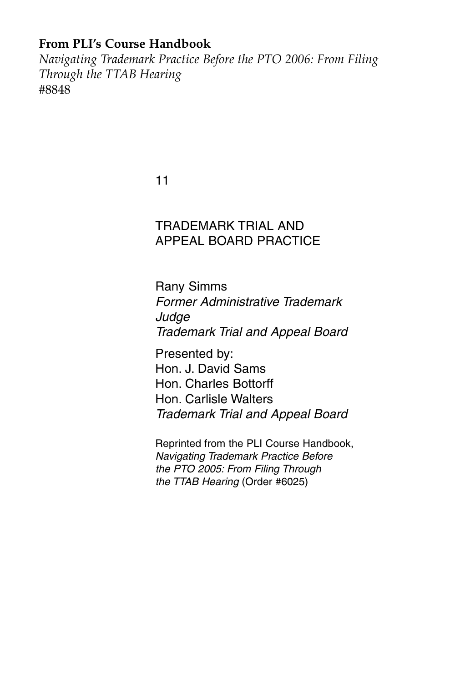### **From PLI's Course Handbook**

*Navigating Trademark Practice Before the PTO 2006: From Filing Through the TTAB Hearing* #8848

11

## TRADEMARK TRIAL AND APPEAL BOARD PRACTICE

Rany Simms *Former Administrative Trademark Judge Trademark Trial and Appeal Board*

Presented by: Hon. J. David Sams Hon. Charles Bottorff Hon. Carlisle Walters *Trademark Trial and Appeal Board*

Reprinted from the PLI Course Handbook, *Navigating Trademark Practice Before the PTO 2005: From Filing Through the TTAB Hearing* (Order #6025)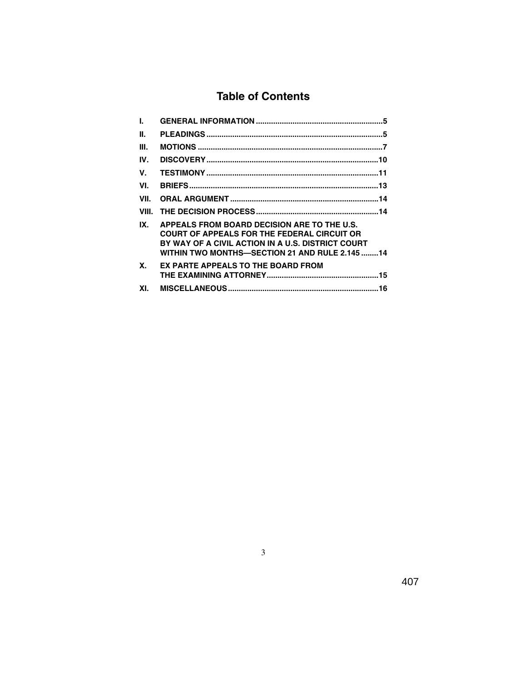# **Table of Contents**

| L.        |                                                                                                                                                                                                          |
|-----------|----------------------------------------------------------------------------------------------------------------------------------------------------------------------------------------------------------|
| Ш.        |                                                                                                                                                                                                          |
| III.      |                                                                                                                                                                                                          |
| IV.       |                                                                                                                                                                                                          |
| V.        |                                                                                                                                                                                                          |
| VI.       |                                                                                                                                                                                                          |
| VII.      |                                                                                                                                                                                                          |
| VIII.     |                                                                                                                                                                                                          |
| IX.       | APPEALS FROM BOARD DECISION ARE TO THE U.S.<br><b>COURT OF APPEALS FOR THE FEDERAL CIRCUIT OR</b><br>BY WAY OF A CIVIL ACTION IN A U.S. DISTRICT COURT<br>WITHIN TWO MONTHS—SECTION 21 AND RULE 2.145 14 |
| <b>X.</b> | EX PARTE APPEALS TO THE BOARD FROM                                                                                                                                                                       |
| XI.       |                                                                                                                                                                                                          |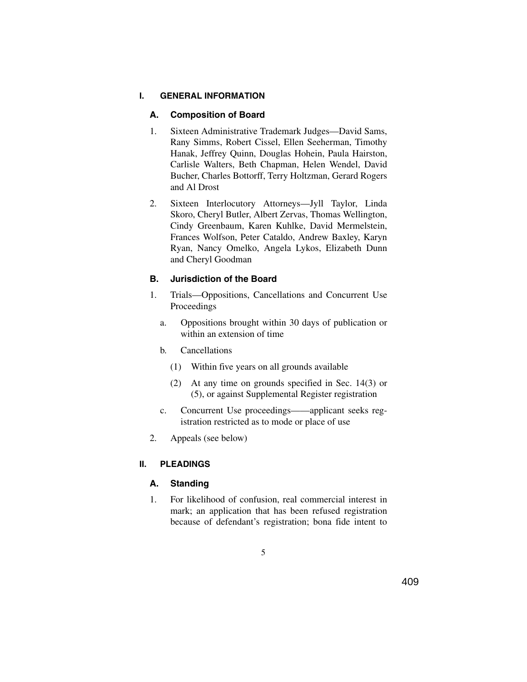#### **I. GENERAL INFORMATION**

### **A. Composition of Board**

- 1. Sixteen Administrative Trademark Judges—David Sams, Rany Simms, Robert Cissel, Ellen Seeherman, Timothy Hanak, Jeffrey Quinn, Douglas Hohein, Paula Hairston, Carlisle Walters, Beth Chapman, Helen Wendel, David Bucher, Charles Bottorff, Terry Holtzman, Gerard Rogers and Al Drost
- 2. Sixteen Interlocutory Attorneys—Jyll Taylor, Linda Skoro, Cheryl Butler, Albert Zervas, Thomas Wellington, Cindy Greenbaum, Karen Kuhlke, David Mermelstein, Frances Wolfson, Peter Cataldo, Andrew Baxley, Karyn Ryan, Nancy Omelko, Angela Lykos, Elizabeth Dunn and Cheryl Goodman

### **B. Jurisdiction of the Board**

- 1. Trials—Oppositions, Cancellations and Concurrent Use Proceedings
	- a. Oppositions brought within 30 days of publication or within an extension of time
	- b. Cancellations
		- (1) Within five years on all grounds available
		- (2) At any time on grounds specified in Sec. 14(3) or (5), or against Supplemental Register registration
	- c. Concurrent Use proceedings——applicant seeks registration restricted as to mode or place of use
- 2. Appeals (see below)

### **II. PLEADINGS**

### **A. Standing**

1. For likelihood of confusion, real commercial interest in mark; an application that has been refused registration because of defendant's registration; bona fide intent to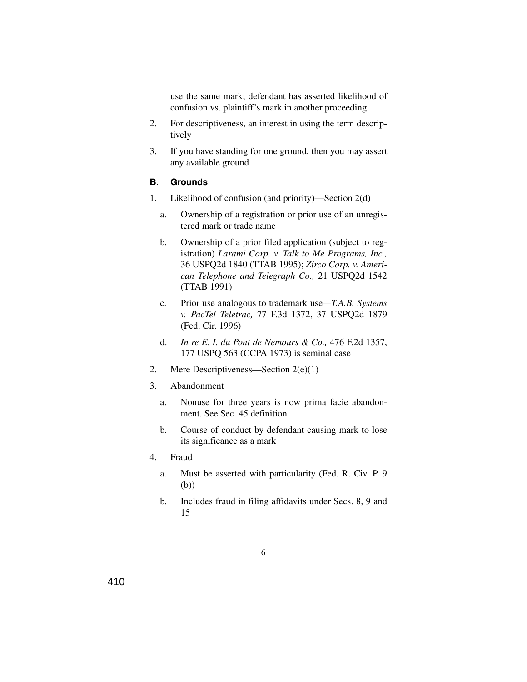use the same mark; defendant has asserted likelihood of confusion vs. plaintiff's mark in another proceeding

- 2. For descriptiveness, an interest in using the term descriptively
- 3. If you have standing for one ground, then you may assert any available ground

### **B. Grounds**

- 1. Likelihood of confusion (and priority)—Section 2(d)
	- a. Ownership of a registration or prior use of an unregistered mark or trade name
	- b. Ownership of a prior filed application (subject to registration) *Larami Corp. v. Talk to Me Programs, Inc.,* 36 USPQ2d 1840 (TTAB 1995); *Zirco Corp. v. American Telephone and Telegraph Co.,* 21 USPQ2d 1542 (TTAB 1991)
	- c. Prior use analogous to trademark use*—T.A.B. Systems v. PacTel Teletrac,* 77 F.3d 1372, 37 USPQ2d 1879 (Fed. Cir. 1996)
	- d. *In re E. I. du Pont de Nemours & Co.,* 476 F.2d 1357, 177 USPQ 563 (CCPA 1973) is seminal case
- 2. Mere Descriptiveness—Section 2(e)(1)
- 3. Abandonment
	- a. Nonuse for three years is now prima facie abandonment. See Sec. 45 definition
	- b. Course of conduct by defendant causing mark to lose its significance as a mark
- 4. Fraud
	- a. Must be asserted with particularity (Fed. R. Civ. P. 9 (b))
	- b. Includes fraud in filing affidavits under Secs. 8, 9 and 15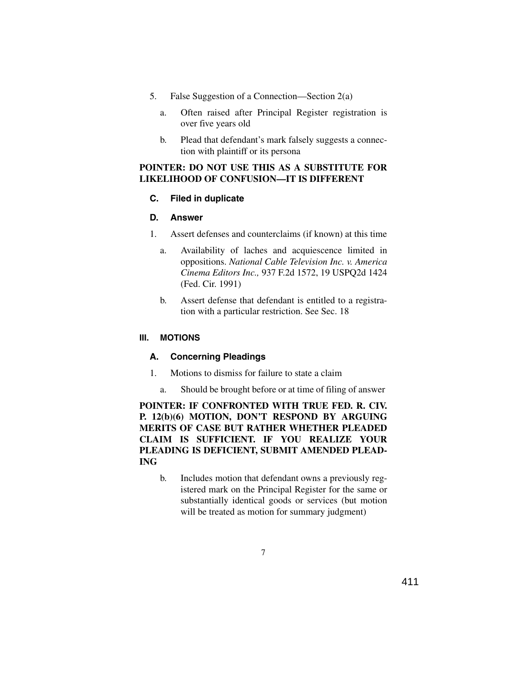- 5. False Suggestion of a Connection—Section 2(a)
	- a. Often raised after Principal Register registration is over five years old
	- b. Plead that defendant's mark falsely suggests a connection with plaintiff or its persona

### **POINTER: DO NOT USE THIS AS A SUBSTITUTE FOR LIKELIHOOD OF CONFUSION—IT IS DIFFERENT**

### **C. Filed in duplicate**

### **D. Answer**

- 1. Assert defenses and counterclaims (if known) at this time
	- a. Availability of laches and acquiescence limited in oppositions. *National Cable Television Inc. v. America Cinema Editors Inc.,* 937 F.2d 1572, 19 USPQ2d 1424 (Fed. Cir. 1991)
	- b. Assert defense that defendant is entitled to a registration with a particular restriction. See Sec. 18

### **III. MOTIONS**

### **A. Concerning Pleadings**

- 1. Motions to dismiss for failure to state a claim
	- a. Should be brought before or at time of filing of answer

**POINTER: IF CONFRONTED WITH TRUE FED. R. CIV. P. 12(b)(6) MOTION, DON'T RESPOND BY ARGUING MERITS OF CASE BUT RATHER WHETHER PLEADED CLAIM IS SUFFICIENT. IF YOU REALIZE YOUR PLEADING IS DEFICIENT, SUBMIT AMENDED PLEAD-ING**

b. Includes motion that defendant owns a previously registered mark on the Principal Register for the same or substantially identical goods or services (but motion will be treated as motion for summary judgment)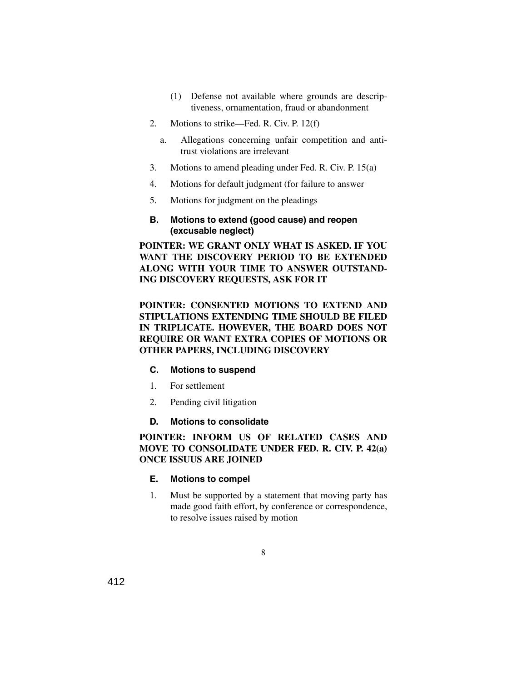- (1) Defense not available where grounds are descriptiveness, ornamentation, fraud or abandonment
- 2. Motions to strike—Fed. R. Civ. P. 12(f)
	- a. Allegations concerning unfair competition and antitrust violations are irrelevant
- 3. Motions to amend pleading under Fed. R. Civ. P. 15(a)
- 4. Motions for default judgment (for failure to answer
- 5. Motions for judgment on the pleadings

#### **B. Motions to extend (good cause) and reopen (excusable neglect)**

**POINTER: WE GRANT ONLY WHAT IS ASKED. IF YOU WANT THE DISCOVERY PERIOD TO BE EXTENDED ALONG WITH YOUR TIME TO ANSWER OUTSTAND-ING DISCOVERY REQUESTS, ASK FOR IT**

**POINTER: CONSENTED MOTIONS TO EXTEND AND STIPULATIONS EXTENDING TIME SHOULD BE FILED IN TRIPLICATE. HOWEVER, THE BOARD DOES NOT REQUIRE OR WANT EXTRA COPIES OF MOTIONS OR OTHER PAPERS, INCLUDING DISCOVERY**

#### **C. Motions to suspend**

- 1. For settlement
- 2. Pending civil litigation

### **D. Motions to consolidate**

### **POINTER: INFORM US OF RELATED CASES AND MOVE TO CONSOLIDATE UNDER FED. R. CIV. P. 42(a) ONCE ISSUUS ARE JOINED**

### **E. Motions to compel**

1. Must be supported by a statement that moving party has made good faith effort, by conference or correspondence, to resolve issues raised by motion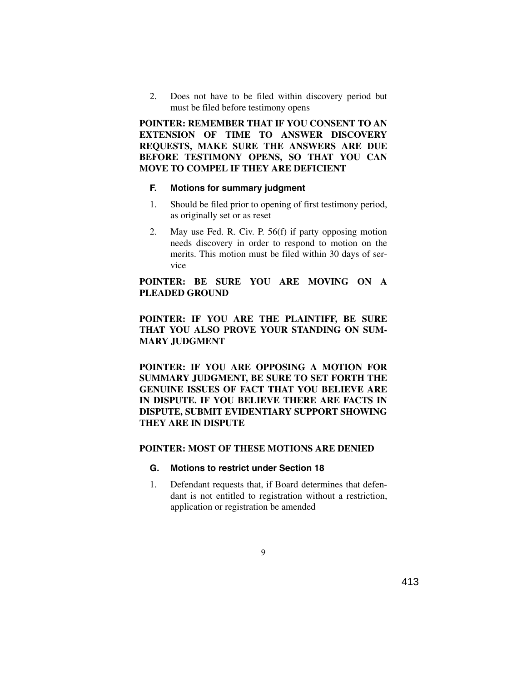2. Does not have to be filed within discovery period but must be filed before testimony opens

**POINTER: REMEMBER THAT IF YOU CONSENT TO AN EXTENSION OF TIME TO ANSWER DISCOVERY REQUESTS, MAKE SURE THE ANSWERS ARE DUE BEFORE TESTIMONY OPENS, SO THAT YOU CAN MOVE TO COMPEL IF THEY ARE DEFICIENT**

#### **F. Motions for summary judgment**

- 1. Should be filed prior to opening of first testimony period, as originally set or as reset
- 2. May use Fed. R. Civ. P. 56(f) if party opposing motion needs discovery in order to respond to motion on the merits. This motion must be filed within 30 days of service

### **POINTER: BE SURE YOU ARE MOVING ON A PLEADED GROUND**

### **POINTER: IF YOU ARE THE PLAINTIFF, BE SURE THAT YOU ALSO PROVE YOUR STANDING ON SUM-MARY JUDGMENT**

**POINTER: IF YOU ARE OPPOSING A MOTION FOR SUMMARY JUDGMENT, BE SURE TO SET FORTH THE GENUINE ISSUES OF FACT THAT YOU BELIEVE ARE IN DISPUTE. IF YOU BELIEVE THERE ARE FACTS IN DISPUTE, SUBMIT EVIDENTIARY SUPPORT SHOWING THEY ARE IN DISPUTE**

#### **POINTER: MOST OF THESE MOTIONS ARE DENIED**

#### **G. Motions to restrict under Section 18**

1. Defendant requests that, if Board determines that defendant is not entitled to registration without a restriction, application or registration be amended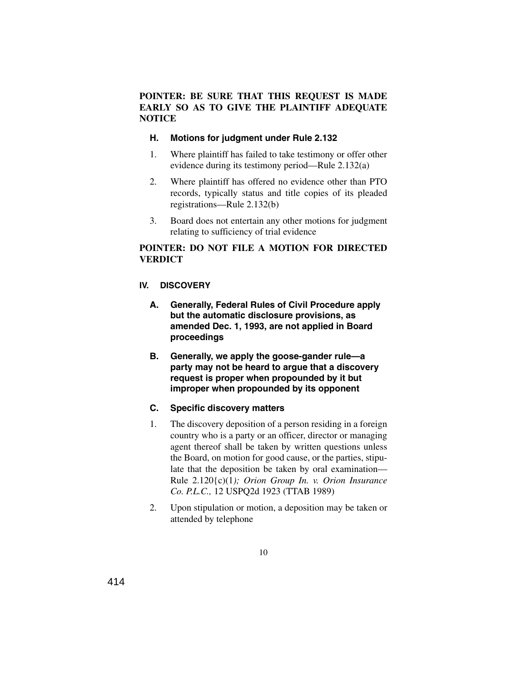### **POINTER: BE SURE THAT THIS REQUEST IS MADE EARLY SO AS TO GIVE THE PLAINTIFF ADEQUATE NOTICE**

#### **H. Motions for judgment under Rule 2.132**

- 1. Where plaintiff has failed to take testimony or offer other evidence during its testimony period—Rule 2.132(a)
- 2. Where plaintiff has offered no evidence other than PTO records, typically status and title copies of its pleaded registrations—Rule 2.132(b)
- 3. Board does not entertain any other motions for judgment relating to sufficiency of trial evidence

### **POINTER: DO NOT FILE A MOTION FOR DIRECTED VERDICT**

#### **IV. DISCOVERY**

- **A. Generally, Federal Rules of Civil Procedure apply but the automatic disclosure provisions, as amended Dec. 1, 1993, are not applied in Board proceedings**
- **B. Generally, we apply the goose-gander rule—a party may not be heard to argue that a discovery request is proper when propounded by it but improper when propounded by its opponent**

#### **C. Specific discovery matters**

- 1. The discovery deposition of a person residing in a foreign country who is a party or an officer, director or managing agent thereof shall be taken by written questions unless the Board, on motion for good cause, or the parties, stipulate that the deposition be taken by oral examination— Rule 2.120{c)(1*); Orion Group In. v. Orion Insurance Co. P.L.C.,* 12 USPQ2d 1923 (TTAB 1989)
- 2. Upon stipulation or motion, a deposition may be taken or attended by telephone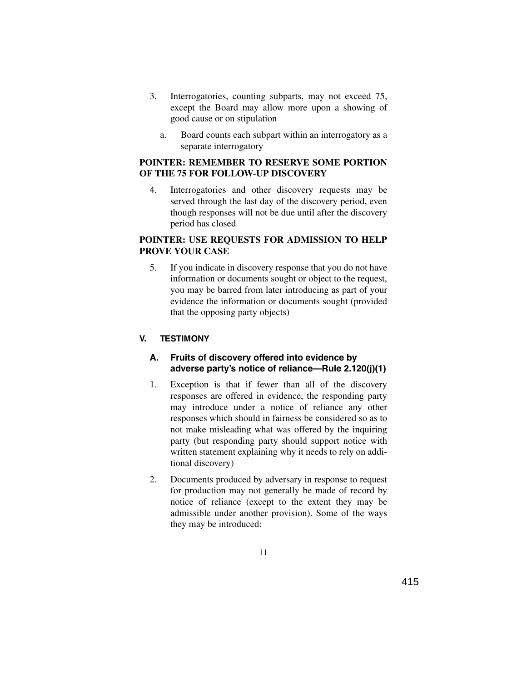- 3. Interrogatories, counting subparts, may not exceed 75, except the Board may allow more upon a showing of good cause or on stipulation
	- a. Board counts each subpart within an interrogatory as a separate interrogatory

### **POINTER: REMEMBER TO RESERVE SOME PORTION OF THE 75 FOR FOLLOW-UP DISCOVERY**

4. Interrogatories and other discovery requests may be served through the last day of the discovery period, even though responses will not be due until after the discovery period has closed

### **POINTER: USE REQUESTS FOR ADMISSION TO HELP PROVE YOUR CASE**

5. If you indicate in discovery response that you do not have information or documents sought or object to the request, you may be barred from later introducing as part of your evidence the information or documents sought (provided that the opposing party objects)

### **V. TESTIMONY**

#### **A. Fruits of discovery offered into evidence by adverse party's notice of reliance—Rule 2.120(j)(1)**

- 1. Exception is that if fewer than all of the discovery responses are offered in evidence, the responding party may introduce under a notice of reliance any other responses which should in fairness be considered so as to not make misleading what was offered by the inquiring party (but responding party should support notice with written statement explaining why it needs to rely on additional discovery)
- 2. Documents produced by adversary in response to request for production may not generally be made of record by notice of reliance (except to the extent they may be admissible under another provision). Some of the ways they may be introduced: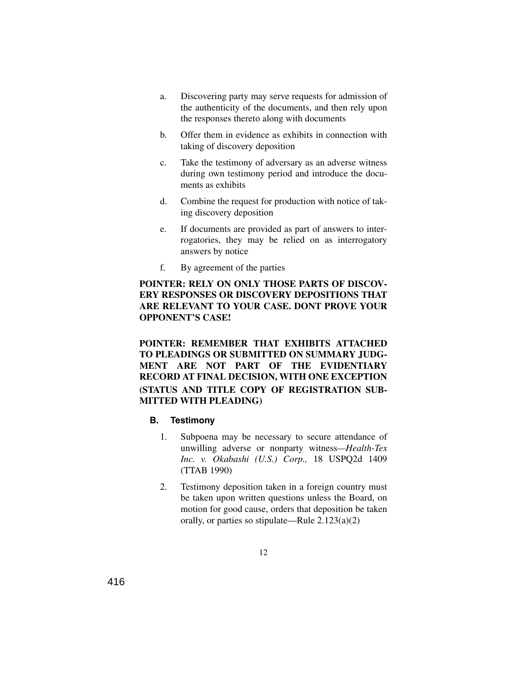- a. Discovering party may serve requests for admission of the authenticity of the documents, and then rely upon the responses thereto along with documents
- b. Offer them in evidence as exhibits in connection with taking of discovery deposition
- c. Take the testimony of adversary as an adverse witness during own testimony period and introduce the documents as exhibits
- d. Combine the request for production with notice of taking discovery deposition
- e. If documents are provided as part of answers to interrogatories, they may be relied on as interrogatory answers by notice
- f. By agreement of the parties

### **POINTER: RELY ON ONLY THOSE PARTS OF DISCOV-ERY RESPONSES OR DISCOVERY DEPOSITIONS THAT ARE RELEVANT TO YOUR CASE. DONT PROVE YOUR OPPONENT'S CASE!**

### **POINTER: REMEMBER THAT EXHIBITS ATTACHED TO PLEADINGS OR SUBMITTED ON SUMMARY JUDG-MENT ARE NOT PART OF THE EVIDENTIARY RECORD AT FINAL DECISION, WITH ONE EXCEPTION (STATUS AND TITLE COPY OF REGISTRATION SUB-MITTED WITH PLEADING)**

#### **B. Testimony**

- 1. Subpoena may be necessary to secure attendance of unwilling adverse or nonparty witness*—Health*-*Tex Inc. v. Okabashi (U.S.) Corp.,* 18 USPQ2d 1409 (TTAB 1990)
- 2. Testimony deposition taken in a foreign country must be taken upon written questions unless the Board, on motion for good cause, orders that deposition be taken orally, or parties so stipulate—Rule 2.123(a)(2)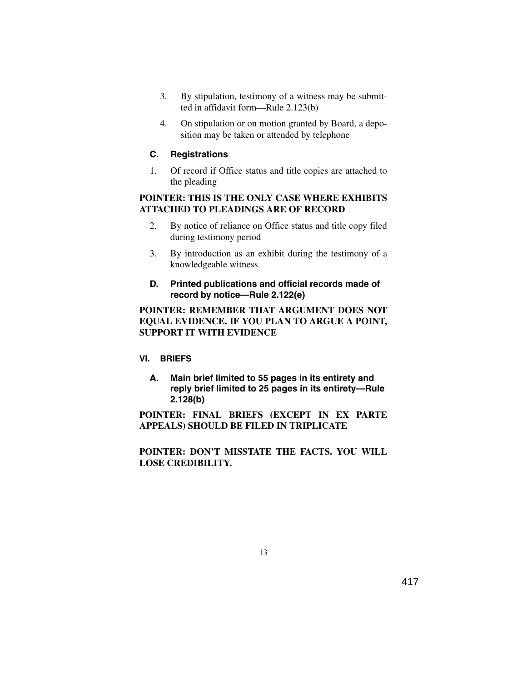- 3. By stipulation, testimony of a witness may be submitted in affidavit form—Rule 2.123(b)
- 4. On stipulation or on motion granted by Board, a deposition may be taken or attended by telephone

### **C. Registrations**

1. Of record if Office status and title copies are attached to the pleading

### **POINTER: THIS IS THE ONLY CASE WHERE EXHIBITS ATTACHED TO PLEADINGS ARE OF RECORD**

- 2. By notice of reliance on Office status and title copy filed during testimony period
- 3. By introduction as an exhibit during the testimony of a knowledgeable witness
- **D. Printed publications and official records made of record by notice—Rule 2.122(e)**

### **POINTER: REMEMBER THAT ARGUMENT DOES NOT EQUAL EVIDENCE. IF YOU PLAN TO ARGUE A POINT, SUPPORT IT WITH EVIDENCE**

### **VI. BRIEFS**

**A. Main brief limited to 55 pages in its entirety and reply brief limited to 25 pages in its entirety—Rule 2.128(b)**

**POINTER: FINAL BRIEFS (EXCEPT IN EX PARTE APPEALS) SHOULD BE FILED IN TRIPLICATE**

**POINTER: DON'T MISSTATE THE FACTS. YOU WILL LOSE CREDIBILITY.**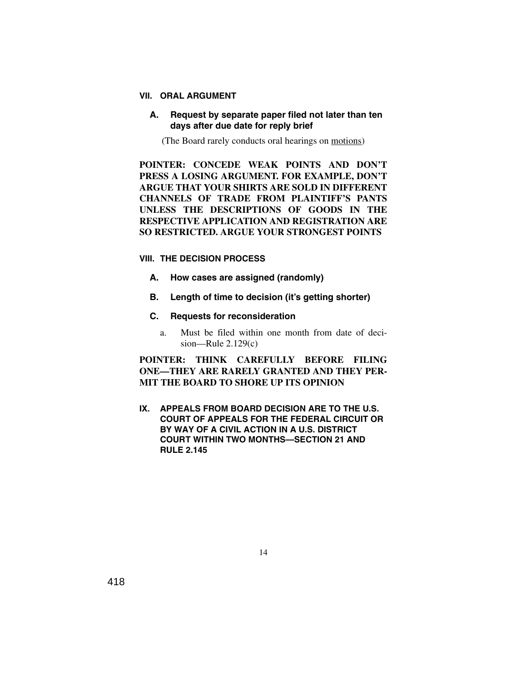#### **VII. ORAL ARGUMENT**

#### **A. Request by separate paper filed not later than ten days after due date for reply brief**

(The Board rarely conducts oral hearings on motions)

**POINTER: CONCEDE WEAK POINTS AND DON'T PRESS A LOSING ARGUMENT. FOR EXAMPLE, DON'T ARGUE THAT YOUR SHIRTS ARE SOLD IN DIFFERENT CHANNELS OF TRADE FROM PLAINTIFF'S PANTS UNLESS THE DESCRIPTIONS OF GOODS IN THE RESPECTIVE APPLICATION AND REGISTRATION ARE SO RESTRICTED. ARGUE YOUR STRONGEST POINTS**

#### **VIII. THE DECISION PROCESS**

- **A. How cases are assigned (randomly)**
- **B. Length of time to decision (it's getting shorter)**

### **C. Requests for reconsideration**

a. Must be filed within one month from date of decision—Rule  $2.129(c)$ 

### **POINTER: THINK CAREFULLY BEFORE FILING ONE—THEY ARE RARELY GRANTED AND THEY PER-MIT THE BOARD TO SHORE UP ITS OPINION**

**IX. APPEALS FROM BOARD DECISION ARE TO THE U.S. COURT OF APPEALS FOR THE FEDERAL CIRCUIT OR BY WAY OF A CIVIL ACTION IN A U.S. DISTRICT COURT WITHIN TWO MONTHS—SECTION 21 AND RULE 2.145**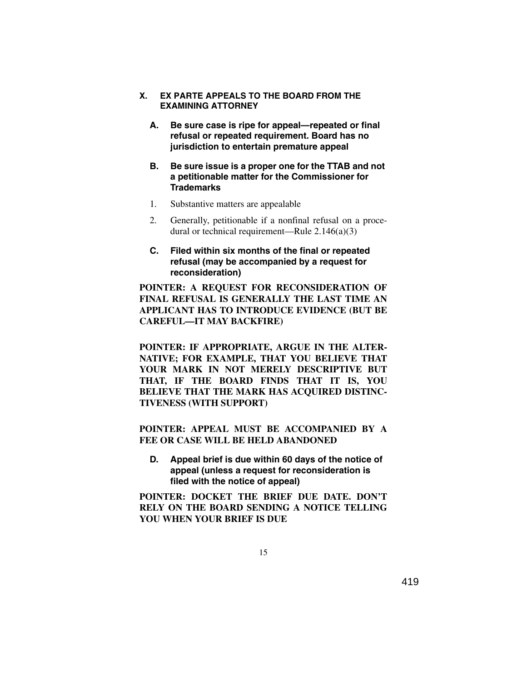- **X. EX PARTE APPEALS TO THE BOARD FROM THE EXAMINING ATTORNEY**
	- **A. Be sure case is ripe for appeal—repeated or final refusal or repeated requirement. Board has no jurisdiction to entertain premature appeal**
	- **B. Be sure issue is a proper one for the TTAB and not a petitionable matter for the Commissioner for Trademarks**
	- 1. Substantive matters are appealable
	- 2. Generally, petitionable if a nonfinal refusal on a procedural or technical requirement—Rule 2.146(a)(3)
	- **C. Filed within six months of the final or repeated refusal (may be accompanied by a request for reconsideration)**

**POINTER: A REQUEST FOR RECONSIDERATION OF FINAL REFUSAL IS GENERALLY THE LAST TIME AN APPLICANT HAS TO INTRODUCE EVIDENCE (BUT BE CAREFUL—IT MAY BACKFIRE)**

**POINTER: IF APPROPRIATE, ARGUE IN THE ALTER-NATIVE; FOR EXAMPLE, THAT YOU BELIEVE THAT YOUR MARK IN NOT MERELY DESCRIPTIVE BUT THAT, IF THE BOARD FINDS THAT IT IS, YOU** BELIEVE THAT THE MARK HAS ACOUIRED DISTINC-**TIVENESS (WITH SUPPORT)** 

**POINTER: APPEAL MUST BE ACCOMPANIED BY A FEE OR CASE WILL BE HELD ABANDONED**

**D. Appeal brief is due within 60 days of the notice of appeal (unless a request for reconsideration is filed with the notice of appeal)**

**POINTER: DOCKET THE BRIEF DUE DATE. DON'T RELY ON THE BOARD SENDING A NOTICE TELLING YOU WHEN YOUR BRIEF IS DUE**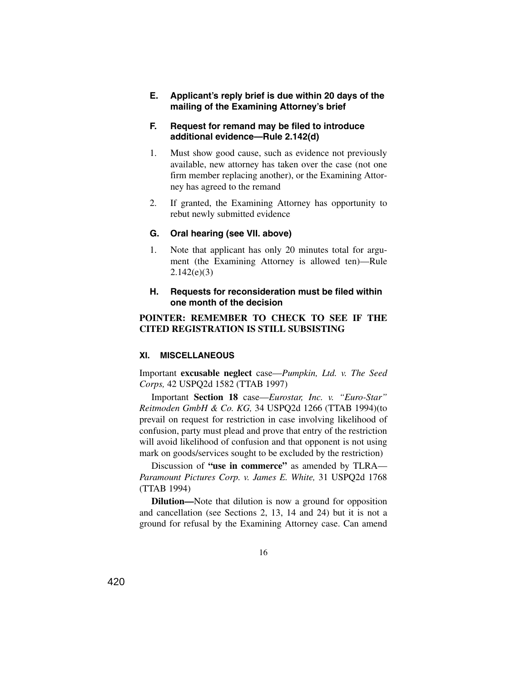**E. Applicant's reply brief is due within 20 days of the mailing of the Examining Attorney's brief**

#### **F. Request for remand may be filed to introduce additional evidence—Rule 2.142(d)**

- 1. Must show good cause, such as evidence not previously available, new attorney has taken over the case (not one firm member replacing another), or the Examining Attorney has agreed to the remand
- 2. If granted, the Examining Attorney has opportunity to rebut newly submitted evidence

### **G. Oral hearing (see VII. above)**

1. Note that applicant has only 20 minutes total for argument (the Examining Attorney is allowed ten)—Rule  $2.142(e)(3)$ 

#### **H. Requests for reconsideration must be filed within one month of the decision**

#### **POINTER: REMEMBER TO CHECK TO SEE IF THE CITED REGISTRATION IS STILL SUBSISTING**

#### **XI. MISCELLANEOUS**

Important **excusable neglect** case—*Pumpkin, Ltd. v. The Seed Corps,* 42 USPQ2d 1582 (TTAB 1997)

Important **Section 18** case—*Eurostar, Inc. v. "Euro-Star" Reitmoden GmbH & Co. KG,* 34 USPQ2d 1266 (TTAB 1994)(to prevail on request for restriction in case involving likelihood of confusion, party must plead and prove that entry of the restriction will avoid likelihood of confusion and that opponent is not using mark on goods/services sought to be excluded by the restriction)

Discussion of **"use in commerce"** as amended by TLRA— *Paramount Pictures Corp. v. James E. White,* 31 USPQ2d 1768 (TTAB 1994)

**Dilution—**Note that dilution is now a ground for opposition and cancellation (see Sections 2, 13, 14 and 24) but it is not a ground for refusal by the Examining Attorney case. Can amend